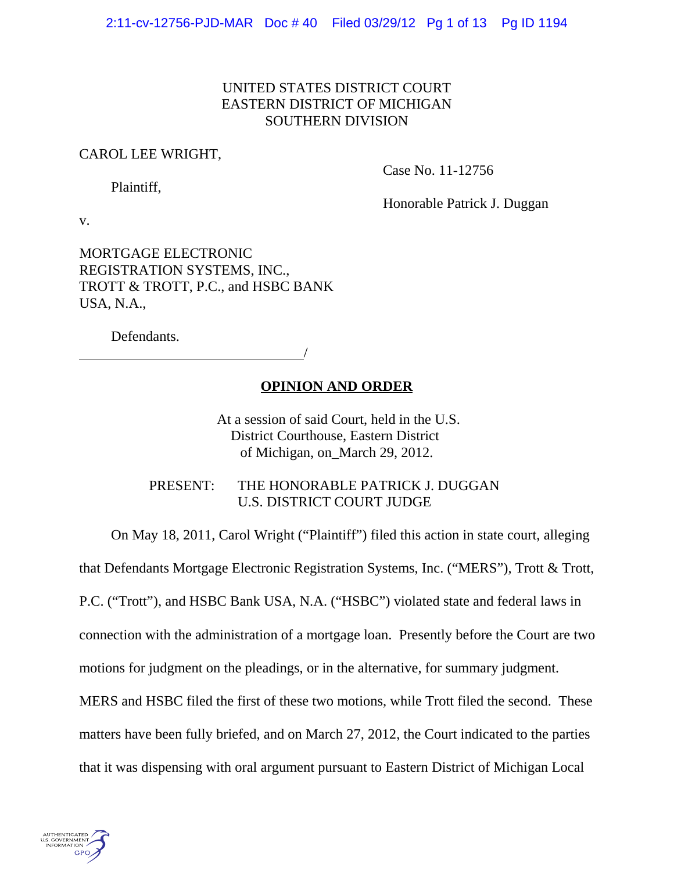# UNITED STATES DISTRICT COURT EASTERN DISTRICT OF MICHIGAN SOUTHERN DIVISION

## CAROL LEE WRIGHT,

Case No. 11-12756

Plaintiff,

Honorable Patrick J. Duggan

v.

MORTGAGE ELECTRONIC REGISTRATION SYSTEMS, INC., TROTT & TROTT, P.C., and HSBC BANK USA, N.A.,

Defendants.

<u>/</u>

# **OPINION AND ORDER**

 At a session of said Court, held in the U.S. District Courthouse, Eastern District of Michigan, on\_March 29, 2012.

PRESENT: THE HONORABLE PATRICK J. DUGGAN U.S. DISTRICT COURT JUDGE

On May 18, 2011, Carol Wright ("Plaintiff") filed this action in state court, alleging

that Defendants Mortgage Electronic Registration Systems, Inc. ("MERS"), Trott & Trott,

P.C. ("Trott"), and HSBC Bank USA, N.A. ("HSBC") violated state and federal laws in

connection with the administration of a mortgage loan. Presently before the Court are two

motions for judgment on the pleadings, or in the alternative, for summary judgment.

MERS and HSBC filed the first of these two motions, while Trott filed the second. These matters have been fully briefed, and on March 27, 2012, the Court indicated to the parties

that it was dispensing with oral argument pursuant to Eastern District of Michigan Local

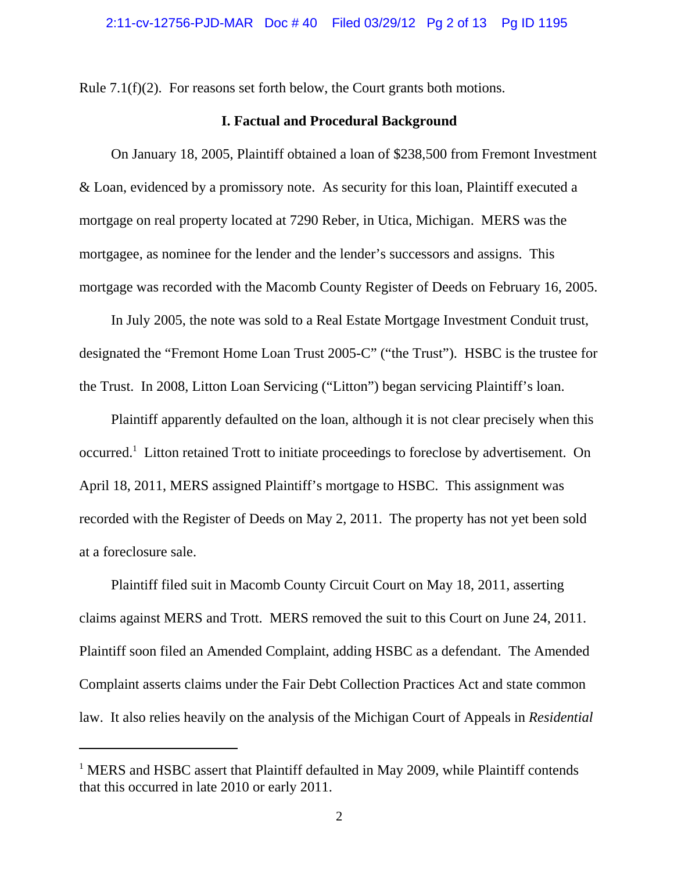Rule 7.1(f)(2). For reasons set forth below, the Court grants both motions.

## **I. Factual and Procedural Background**

On January 18, 2005, Plaintiff obtained a loan of \$238,500 from Fremont Investment & Loan, evidenced by a promissory note. As security for this loan, Plaintiff executed a mortgage on real property located at 7290 Reber, in Utica, Michigan. MERS was the mortgagee, as nominee for the lender and the lender's successors and assigns. This mortgage was recorded with the Macomb County Register of Deeds on February 16, 2005.

In July 2005, the note was sold to a Real Estate Mortgage Investment Conduit trust, designated the "Fremont Home Loan Trust 2005-C" ("the Trust"). HSBC is the trustee for the Trust. In 2008, Litton Loan Servicing ("Litton") began servicing Plaintiff's loan.

Plaintiff apparently defaulted on the loan, although it is not clear precisely when this occurred.<sup>1</sup> Litton retained Trott to initiate proceedings to foreclose by advertisement. On April 18, 2011, MERS assigned Plaintiff's mortgage to HSBC. This assignment was recorded with the Register of Deeds on May 2, 2011. The property has not yet been sold at a foreclosure sale.

Plaintiff filed suit in Macomb County Circuit Court on May 18, 2011, asserting claims against MERS and Trott. MERS removed the suit to this Court on June 24, 2011. Plaintiff soon filed an Amended Complaint, adding HSBC as a defendant. The Amended Complaint asserts claims under the Fair Debt Collection Practices Act and state common law. It also relies heavily on the analysis of the Michigan Court of Appeals in *Residential*

<sup>&</sup>lt;sup>1</sup> MERS and HSBC assert that Plaintiff defaulted in May 2009, while Plaintiff contends that this occurred in late 2010 or early 2011.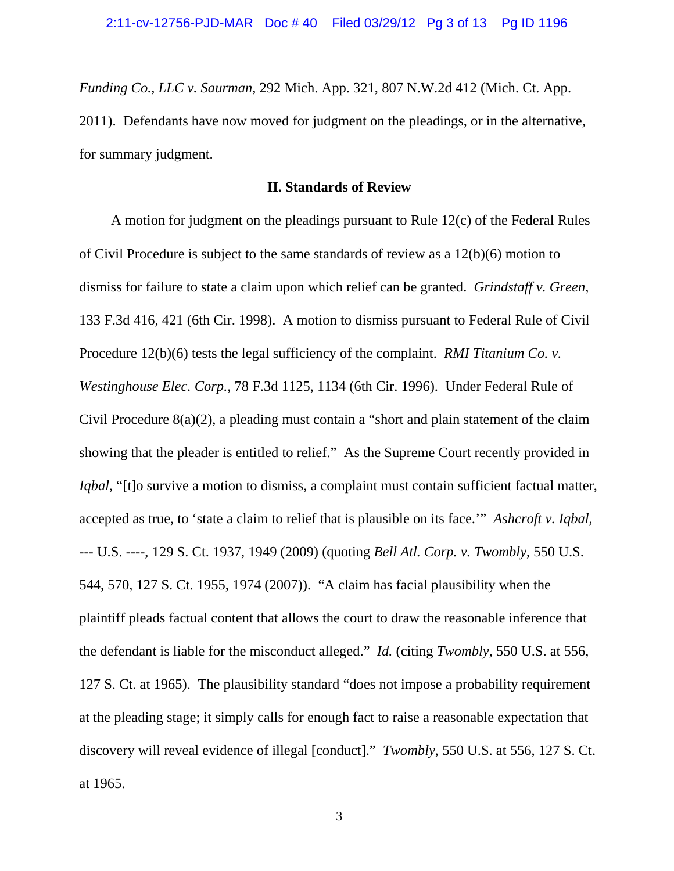*Funding Co., LLC v. Saurman*, 292 Mich. App. 321, 807 N.W.2d 412 (Mich. Ct. App. 2011). Defendants have now moved for judgment on the pleadings, or in the alternative, for summary judgment.

## **II. Standards of Review**

A motion for judgment on the pleadings pursuant to Rule 12(c) of the Federal Rules of Civil Procedure is subject to the same standards of review as a 12(b)(6) motion to dismiss for failure to state a claim upon which relief can be granted. *Grindstaff v. Green*, 133 F.3d 416, 421 (6th Cir. 1998). A motion to dismiss pursuant to Federal Rule of Civil Procedure 12(b)(6) tests the legal sufficiency of the complaint. *RMI Titanium Co. v. Westinghouse Elec. Corp.*, 78 F.3d 1125, 1134 (6th Cir. 1996). Under Federal Rule of Civil Procedure 8(a)(2), a pleading must contain a "short and plain statement of the claim showing that the pleader is entitled to relief." As the Supreme Court recently provided in *Iqbal*, "[t]o survive a motion to dismiss, a complaint must contain sufficient factual matter, accepted as true, to 'state a claim to relief that is plausible on its face.'" *Ashcroft v. Iqbal*, --- U.S. ----, 129 S. Ct. 1937, 1949 (2009) (quoting *Bell Atl. Corp. v. Twombly*, 550 U.S. 544, 570, 127 S. Ct. 1955, 1974 (2007)). "A claim has facial plausibility when the plaintiff pleads factual content that allows the court to draw the reasonable inference that the defendant is liable for the misconduct alleged." *Id.* (citing *Twombly*, 550 U.S. at 556, 127 S. Ct. at 1965). The plausibility standard "does not impose a probability requirement at the pleading stage; it simply calls for enough fact to raise a reasonable expectation that discovery will reveal evidence of illegal [conduct]." *Twombly*, 550 U.S. at 556, 127 S. Ct. at 1965.

3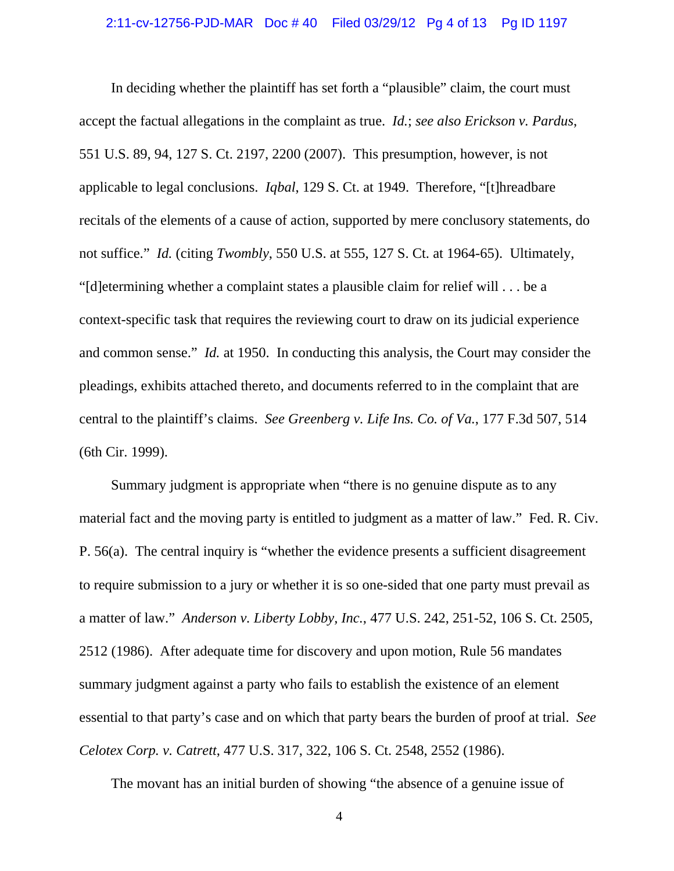#### 2:11-cv-12756-PJD-MAR Doc # 40 Filed 03/29/12 Pg 4 of 13 Pg ID 1197

In deciding whether the plaintiff has set forth a "plausible" claim, the court must accept the factual allegations in the complaint as true. *Id.*; *see also Erickson v. Pardus*, 551 U.S. 89, 94, 127 S. Ct. 2197, 2200 (2007). This presumption, however, is not applicable to legal conclusions. *Iqbal*, 129 S. Ct. at 1949. Therefore, "[t]hreadbare recitals of the elements of a cause of action, supported by mere conclusory statements, do not suffice." *Id.* (citing *Twombly*, 550 U.S. at 555, 127 S. Ct. at 1964-65). Ultimately, "[d]etermining whether a complaint states a plausible claim for relief will . . . be a context-specific task that requires the reviewing court to draw on its judicial experience and common sense." *Id.* at 1950. In conducting this analysis, the Court may consider the pleadings, exhibits attached thereto, and documents referred to in the complaint that are central to the plaintiff's claims. *See Greenberg v. Life Ins. Co. of Va.*, 177 F.3d 507, 514 (6th Cir. 1999).

Summary judgment is appropriate when "there is no genuine dispute as to any material fact and the moving party is entitled to judgment as a matter of law." Fed. R. Civ. P. 56(a). The central inquiry is "whether the evidence presents a sufficient disagreement to require submission to a jury or whether it is so one-sided that one party must prevail as a matter of law." *Anderson v. Liberty Lobby, Inc.*, 477 U.S. 242, 251-52, 106 S. Ct. 2505, 2512 (1986). After adequate time for discovery and upon motion, Rule 56 mandates summary judgment against a party who fails to establish the existence of an element essential to that party's case and on which that party bears the burden of proof at trial. *See Celotex Corp. v. Catrett*, 477 U.S. 317, 322, 106 S. Ct. 2548, 2552 (1986).

The movant has an initial burden of showing "the absence of a genuine issue of

4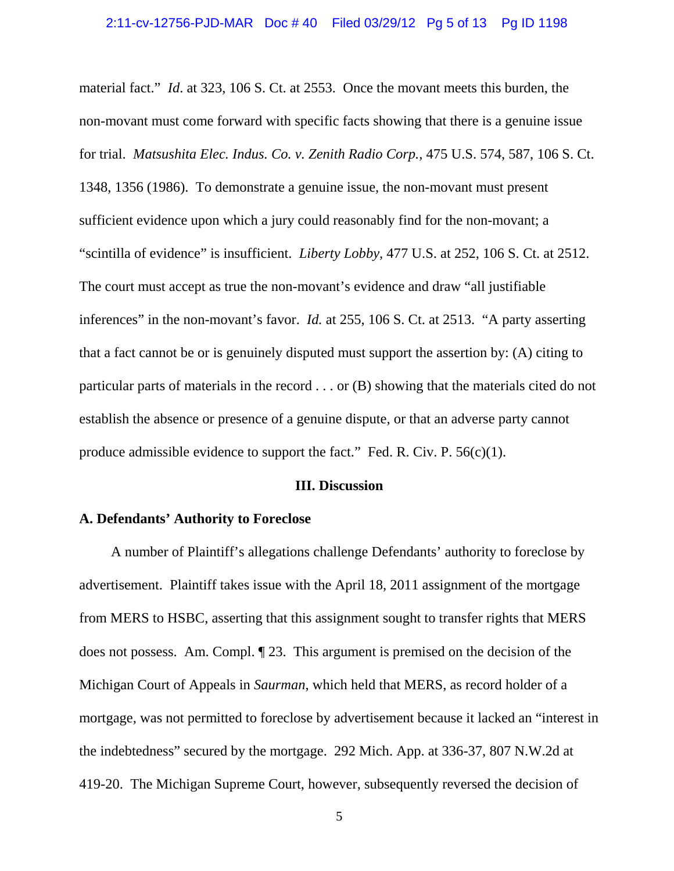material fact." *Id*. at 323, 106 S. Ct. at 2553. Once the movant meets this burden, the non-movant must come forward with specific facts showing that there is a genuine issue for trial. *Matsushita Elec. Indus. Co. v. Zenith Radio Corp.,* 475 U.S. 574, 587, 106 S. Ct. 1348, 1356 (1986). To demonstrate a genuine issue, the non-movant must present sufficient evidence upon which a jury could reasonably find for the non-movant; a "scintilla of evidence" is insufficient. *Liberty Lobby*, 477 U.S. at 252, 106 S. Ct. at 2512. The court must accept as true the non-movant's evidence and draw "all justifiable inferences" in the non-movant's favor. *Id.* at 255, 106 S. Ct. at 2513. "A party asserting that a fact cannot be or is genuinely disputed must support the assertion by: (A) citing to particular parts of materials in the record . . . or (B) showing that the materials cited do not establish the absence or presence of a genuine dispute, or that an adverse party cannot produce admissible evidence to support the fact." Fed. R. Civ. P.  $56(c)(1)$ .

#### **III. Discussion**

#### **A. Defendants' Authority to Foreclose**

A number of Plaintiff's allegations challenge Defendants' authority to foreclose by advertisement. Plaintiff takes issue with the April 18, 2011 assignment of the mortgage from MERS to HSBC, asserting that this assignment sought to transfer rights that MERS does not possess. Am. Compl. ¶ 23. This argument is premised on the decision of the Michigan Court of Appeals in *Saurman*, which held that MERS, as record holder of a mortgage, was not permitted to foreclose by advertisement because it lacked an "interest in the indebtedness" secured by the mortgage. 292 Mich. App. at 336-37, 807 N.W.2d at 419-20. The Michigan Supreme Court, however, subsequently reversed the decision of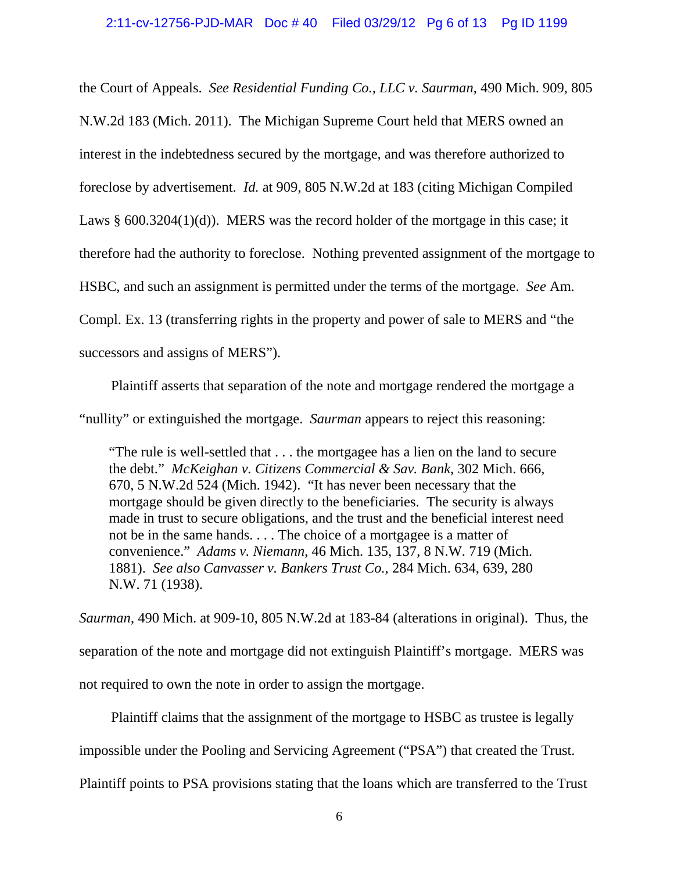#### 2:11-cv-12756-PJD-MAR Doc # 40 Filed 03/29/12 Pg 6 of 13 Pg ID 1199

the Court of Appeals. *See Residential Funding Co., LLC v. Saurman*, 490 Mich. 909, 805 N.W.2d 183 (Mich. 2011). The Michigan Supreme Court held that MERS owned an interest in the indebtedness secured by the mortgage, and was therefore authorized to foreclose by advertisement. *Id.* at 909, 805 N.W.2d at 183 (citing Michigan Compiled Laws § 600.3204(1)(d)). MERS was the record holder of the mortgage in this case; it therefore had the authority to foreclose. Nothing prevented assignment of the mortgage to HSBC, and such an assignment is permitted under the terms of the mortgage. *See* Am. Compl. Ex. 13 (transferring rights in the property and power of sale to MERS and "the successors and assigns of MERS").

Plaintiff asserts that separation of the note and mortgage rendered the mortgage a "nullity" or extinguished the mortgage. *Saurman* appears to reject this reasoning:

"The rule is well-settled that . . . the mortgagee has a lien on the land to secure the debt." *McKeighan v. Citizens Commercial & Sav. Bank*, 302 Mich. 666, 670, 5 N.W.2d 524 (Mich. 1942). "It has never been necessary that the mortgage should be given directly to the beneficiaries. The security is always made in trust to secure obligations, and the trust and the beneficial interest need not be in the same hands. . . . The choice of a mortgagee is a matter of convenience." *Adams v. Niemann*, 46 Mich. 135, 137, 8 N.W. 719 (Mich. 1881). *See also Canvasser v. Bankers Trust Co.*, 284 Mich. 634, 639, 280 N.W. 71 (1938).

*Saurman*, 490 Mich. at 909-10, 805 N.W.2d at 183-84 (alterations in original). Thus, the separation of the note and mortgage did not extinguish Plaintiff's mortgage. MERS was not required to own the note in order to assign the mortgage.

Plaintiff claims that the assignment of the mortgage to HSBC as trustee is legally impossible under the Pooling and Servicing Agreement ("PSA") that created the Trust. Plaintiff points to PSA provisions stating that the loans which are transferred to the Trust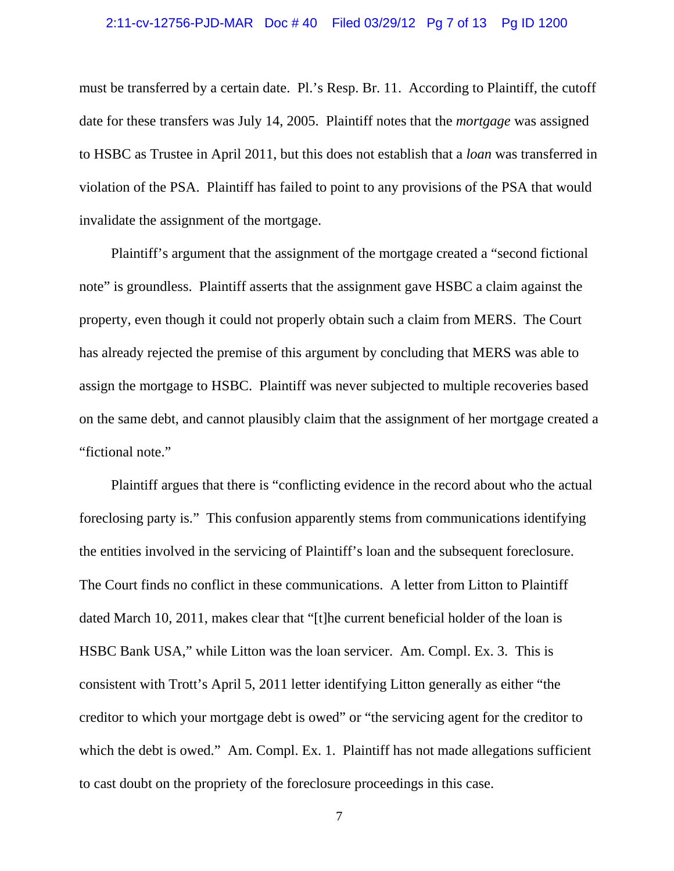#### 2:11-cv-12756-PJD-MAR Doc # 40 Filed 03/29/12 Pg 7 of 13 Pg ID 1200

must be transferred by a certain date. Pl.'s Resp. Br. 11. According to Plaintiff, the cutoff date for these transfers was July 14, 2005. Plaintiff notes that the *mortgage* was assigned to HSBC as Trustee in April 2011, but this does not establish that a *loan* was transferred in violation of the PSA. Plaintiff has failed to point to any provisions of the PSA that would invalidate the assignment of the mortgage.

Plaintiff's argument that the assignment of the mortgage created a "second fictional note" is groundless. Plaintiff asserts that the assignment gave HSBC a claim against the property, even though it could not properly obtain such a claim from MERS. The Court has already rejected the premise of this argument by concluding that MERS was able to assign the mortgage to HSBC. Plaintiff was never subjected to multiple recoveries based on the same debt, and cannot plausibly claim that the assignment of her mortgage created a "fictional note."

Plaintiff argues that there is "conflicting evidence in the record about who the actual foreclosing party is." This confusion apparently stems from communications identifying the entities involved in the servicing of Plaintiff's loan and the subsequent foreclosure. The Court finds no conflict in these communications. A letter from Litton to Plaintiff dated March 10, 2011, makes clear that "[t]he current beneficial holder of the loan is HSBC Bank USA," while Litton was the loan servicer. Am. Compl. Ex. 3. This is consistent with Trott's April 5, 2011 letter identifying Litton generally as either "the creditor to which your mortgage debt is owed" or "the servicing agent for the creditor to which the debt is owed." Am. Compl. Ex. 1. Plaintiff has not made allegations sufficient to cast doubt on the propriety of the foreclosure proceedings in this case.

7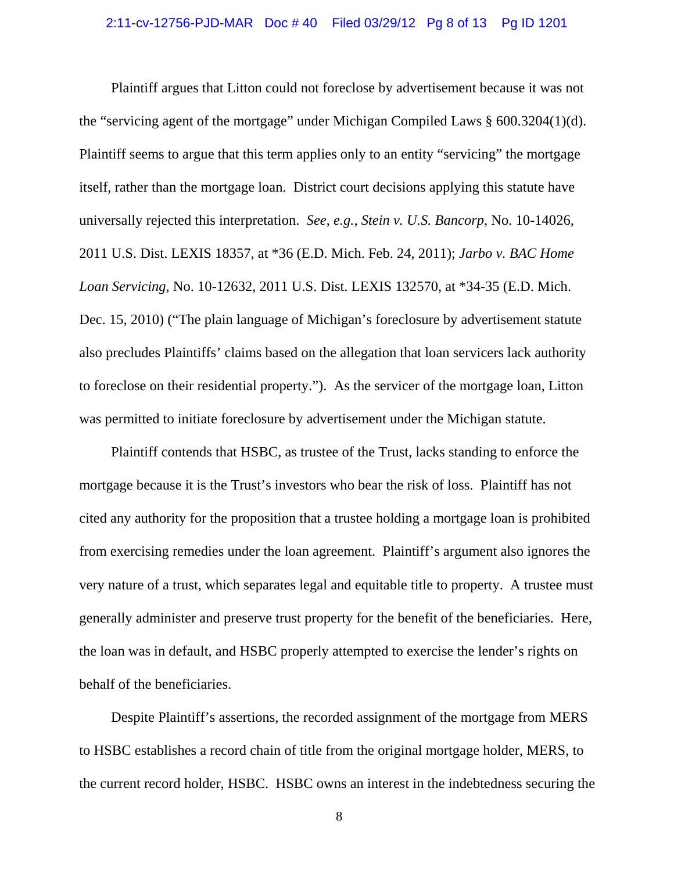#### 2:11-cv-12756-PJD-MAR Doc # 40 Filed 03/29/12 Pg 8 of 13 Pg ID 1201

Plaintiff argues that Litton could not foreclose by advertisement because it was not the "servicing agent of the mortgage" under Michigan Compiled Laws § 600.3204(1)(d). Plaintiff seems to argue that this term applies only to an entity "servicing" the mortgage itself, rather than the mortgage loan. District court decisions applying this statute have universally rejected this interpretation. *See*, *e.g.*, *Stein v. U.S. Bancorp*, No. 10-14026, 2011 U.S. Dist. LEXIS 18357, at \*36 (E.D. Mich. Feb. 24, 2011); *Jarbo v. BAC Home Loan Servicing*, No. 10-12632, 2011 U.S. Dist. LEXIS 132570, at \*34-35 (E.D. Mich. Dec. 15, 2010) ("The plain language of Michigan's foreclosure by advertisement statute also precludes Plaintiffs' claims based on the allegation that loan servicers lack authority to foreclose on their residential property."). As the servicer of the mortgage loan, Litton was permitted to initiate foreclosure by advertisement under the Michigan statute.

Plaintiff contends that HSBC, as trustee of the Trust, lacks standing to enforce the mortgage because it is the Trust's investors who bear the risk of loss. Plaintiff has not cited any authority for the proposition that a trustee holding a mortgage loan is prohibited from exercising remedies under the loan agreement. Plaintiff's argument also ignores the very nature of a trust, which separates legal and equitable title to property. A trustee must generally administer and preserve trust property for the benefit of the beneficiaries. Here, the loan was in default, and HSBC properly attempted to exercise the lender's rights on behalf of the beneficiaries.

Despite Plaintiff's assertions, the recorded assignment of the mortgage from MERS to HSBC establishes a record chain of title from the original mortgage holder, MERS, to the current record holder, HSBC. HSBC owns an interest in the indebtedness securing the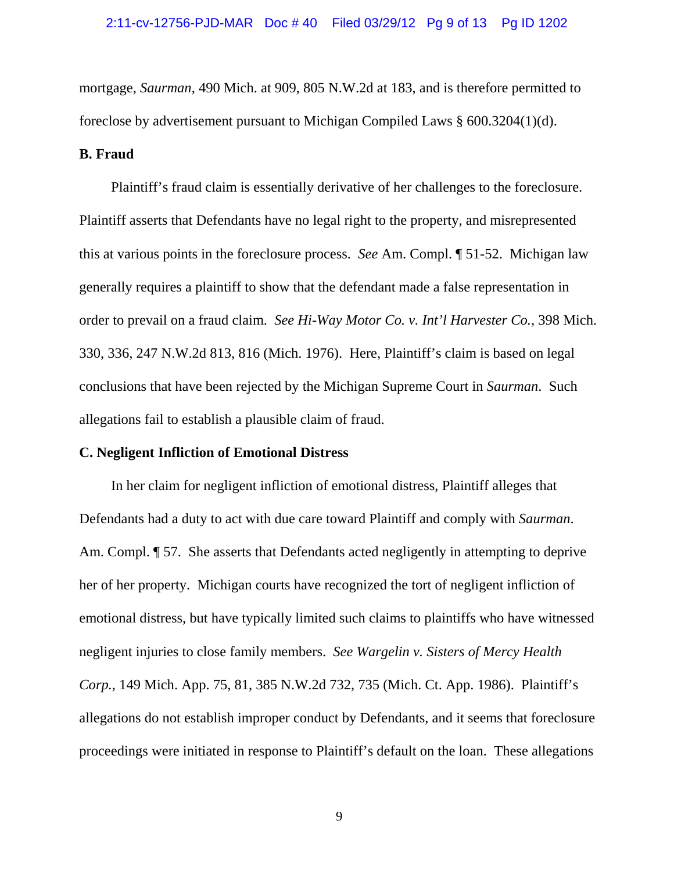mortgage, *Saurman*, 490 Mich. at 909, 805 N.W.2d at 183, and is therefore permitted to foreclose by advertisement pursuant to Michigan Compiled Laws § 600.3204(1)(d).

## **B. Fraud**

Plaintiff's fraud claim is essentially derivative of her challenges to the foreclosure. Plaintiff asserts that Defendants have no legal right to the property, and misrepresented this at various points in the foreclosure process. *See* Am. Compl. ¶ 51-52. Michigan law generally requires a plaintiff to show that the defendant made a false representation in order to prevail on a fraud claim. *See Hi-Way Motor Co. v. Int'l Harvester Co.*, 398 Mich. 330, 336, 247 N.W.2d 813, 816 (Mich. 1976). Here, Plaintiff's claim is based on legal conclusions that have been rejected by the Michigan Supreme Court in *Saurman*. Such allegations fail to establish a plausible claim of fraud.

#### **C. Negligent Infliction of Emotional Distress**

In her claim for negligent infliction of emotional distress, Plaintiff alleges that Defendants had a duty to act with due care toward Plaintiff and comply with *Saurman*. Am. Compl.  $\llbracket$  57. She asserts that Defendants acted negligently in attempting to deprive her of her property. Michigan courts have recognized the tort of negligent infliction of emotional distress, but have typically limited such claims to plaintiffs who have witnessed negligent injuries to close family members. *See Wargelin v. Sisters of Mercy Health Corp.*, 149 Mich. App. 75, 81, 385 N.W.2d 732, 735 (Mich. Ct. App. 1986). Plaintiff's allegations do not establish improper conduct by Defendants, and it seems that foreclosure proceedings were initiated in response to Plaintiff's default on the loan. These allegations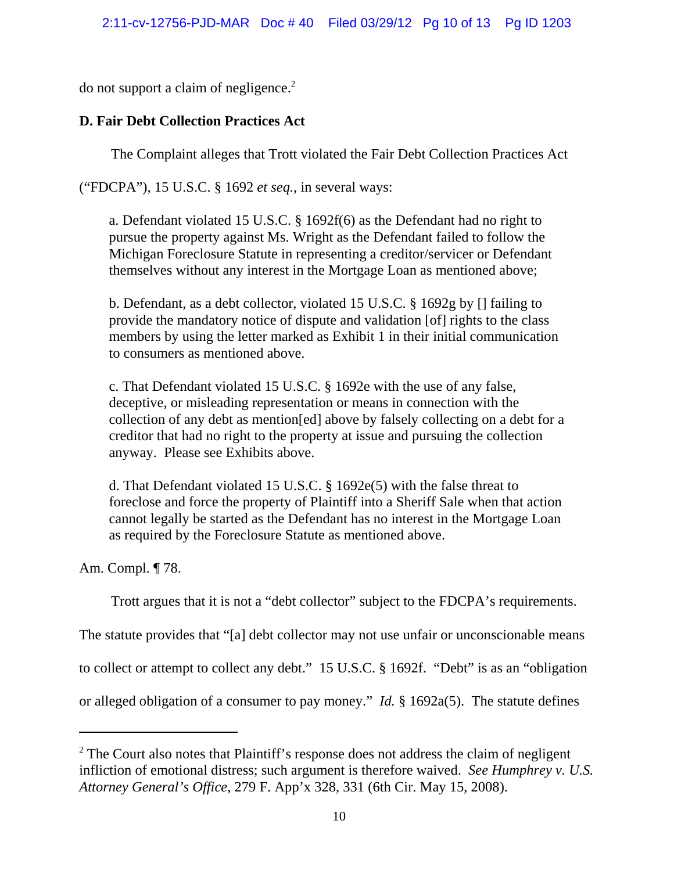do not support a claim of negligence.2

# **D. Fair Debt Collection Practices Act**

The Complaint alleges that Trott violated the Fair Debt Collection Practices Act

("FDCPA"), 15 U.S.C. § 1692 *et seq.*, in several ways:

a. Defendant violated 15 U.S.C. § 1692f(6) as the Defendant had no right to pursue the property against Ms. Wright as the Defendant failed to follow the Michigan Foreclosure Statute in representing a creditor/servicer or Defendant themselves without any interest in the Mortgage Loan as mentioned above;

b. Defendant, as a debt collector, violated 15 U.S.C. § 1692g by [] failing to provide the mandatory notice of dispute and validation [of] rights to the class members by using the letter marked as Exhibit 1 in their initial communication to consumers as mentioned above.

c. That Defendant violated 15 U.S.C. § 1692e with the use of any false, deceptive, or misleading representation or means in connection with the collection of any debt as mention[ed] above by falsely collecting on a debt for a creditor that had no right to the property at issue and pursuing the collection anyway. Please see Exhibits above.

d. That Defendant violated 15 U.S.C. § 1692e(5) with the false threat to foreclose and force the property of Plaintiff into a Sheriff Sale when that action cannot legally be started as the Defendant has no interest in the Mortgage Loan as required by the Foreclosure Statute as mentioned above.

Am. Compl. ¶ 78.

Trott argues that it is not a "debt collector" subject to the FDCPA's requirements.

The statute provides that "[a] debt collector may not use unfair or unconscionable means

to collect or attempt to collect any debt." 15 U.S.C. § 1692f. "Debt" is as an "obligation

or alleged obligation of a consumer to pay money." *Id.* § 1692a(5). The statute defines

<sup>&</sup>lt;sup>2</sup> The Court also notes that Plaintiff's response does not address the claim of negligent infliction of emotional distress; such argument is therefore waived. *See Humphrey v. U.S. Attorney General's Office*, 279 F. App'x 328, 331 (6th Cir. May 15, 2008).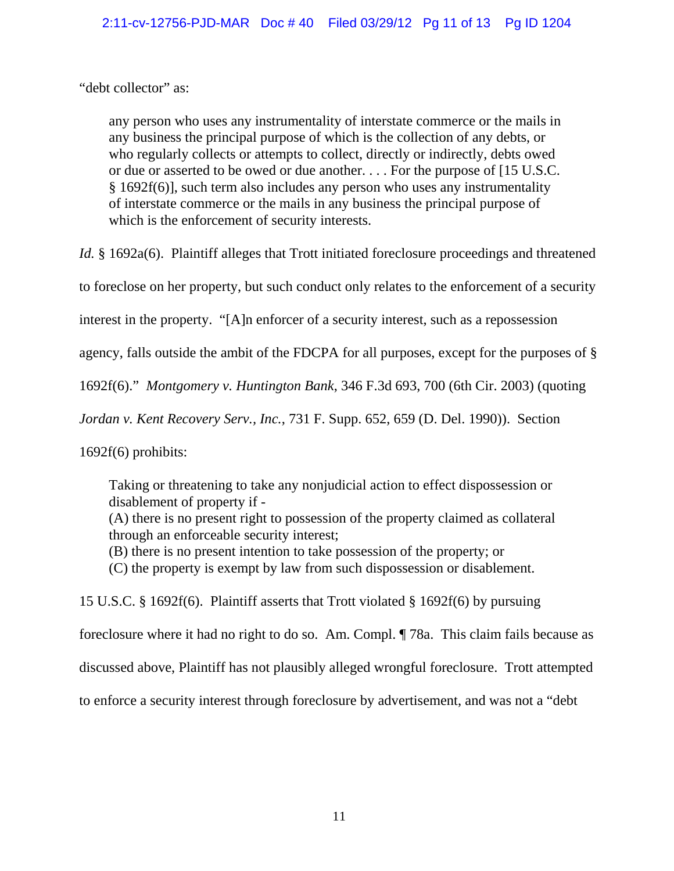"debt collector" as:

any person who uses any instrumentality of interstate commerce or the mails in any business the principal purpose of which is the collection of any debts, or who regularly collects or attempts to collect, directly or indirectly, debts owed or due or asserted to be owed or due another. . . . For the purpose of [15 U.S.C. § 1692f(6)], such term also includes any person who uses any instrumentality of interstate commerce or the mails in any business the principal purpose of which is the enforcement of security interests.

*Id.* § 1692a(6). Plaintiff alleges that Trott initiated foreclosure proceedings and threatened

to foreclose on her property, but such conduct only relates to the enforcement of a security

interest in the property. "[A]n enforcer of a security interest, such as a repossession

agency, falls outside the ambit of the FDCPA for all purposes, except for the purposes of §

1692f(6)." *Montgomery v. Huntington Bank*, 346 F.3d 693, 700 (6th Cir. 2003) (quoting

*Jordan v. Kent Recovery Serv., Inc.*, 731 F. Supp. 652, 659 (D. Del. 1990)). Section

1692f(6) prohibits:

Taking or threatening to take any nonjudicial action to effect dispossession or disablement of property if - (A) there is no present right to possession of the property claimed as collateral through an enforceable security interest; (B) there is no present intention to take possession of the property; or

(C) the property is exempt by law from such dispossession or disablement.

15 U.S.C. § 1692f(6). Plaintiff asserts that Trott violated § 1692f(6) by pursuing

foreclosure where it had no right to do so. Am. Compl. ¶ 78a. This claim fails because as

discussed above, Plaintiff has not plausibly alleged wrongful foreclosure. Trott attempted

to enforce a security interest through foreclosure by advertisement, and was not a "debt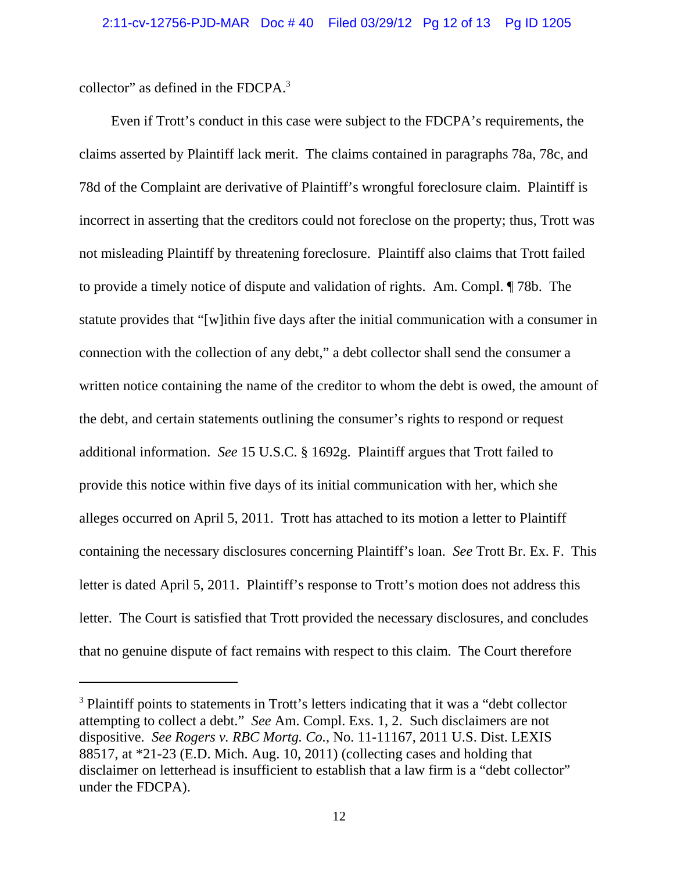collector" as defined in the FDCPA.<sup>3</sup>

Even if Trott's conduct in this case were subject to the FDCPA's requirements, the claims asserted by Plaintiff lack merit. The claims contained in paragraphs 78a, 78c, and 78d of the Complaint are derivative of Plaintiff's wrongful foreclosure claim. Plaintiff is incorrect in asserting that the creditors could not foreclose on the property; thus, Trott was not misleading Plaintiff by threatening foreclosure. Plaintiff also claims that Trott failed to provide a timely notice of dispute and validation of rights. Am. Compl. ¶ 78b. The statute provides that "[w]ithin five days after the initial communication with a consumer in connection with the collection of any debt," a debt collector shall send the consumer a written notice containing the name of the creditor to whom the debt is owed, the amount of the debt, and certain statements outlining the consumer's rights to respond or request additional information. *See* 15 U.S.C. § 1692g. Plaintiff argues that Trott failed to provide this notice within five days of its initial communication with her, which she alleges occurred on April 5, 2011. Trott has attached to its motion a letter to Plaintiff containing the necessary disclosures concerning Plaintiff's loan. *See* Trott Br. Ex. F. This letter is dated April 5, 2011. Plaintiff's response to Trott's motion does not address this letter. The Court is satisfied that Trott provided the necessary disclosures, and concludes that no genuine dispute of fact remains with respect to this claim. The Court therefore

<sup>&</sup>lt;sup>3</sup> Plaintiff points to statements in Trott's letters indicating that it was a "debt collector attempting to collect a debt." *See* Am. Compl. Exs. 1, 2. Such disclaimers are not dispositive. *See Rogers v. RBC Mortg. Co.*, No. 11-11167, 2011 U.S. Dist. LEXIS 88517, at \*21-23 (E.D. Mich. Aug. 10, 2011) (collecting cases and holding that disclaimer on letterhead is insufficient to establish that a law firm is a "debt collector" under the FDCPA).